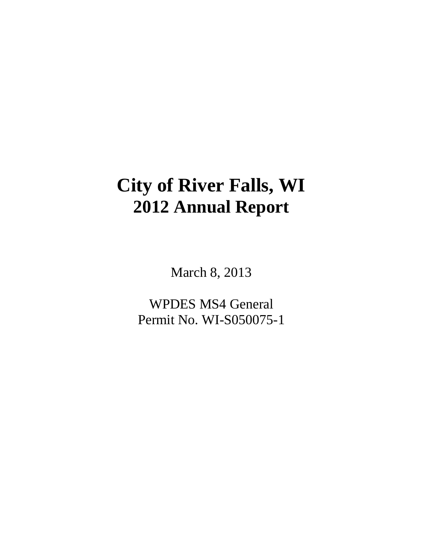# **City of River Falls, WI 2012 Annual Report**

March 8, 2013

WPDES MS4 General Permit No. WI-S050075-1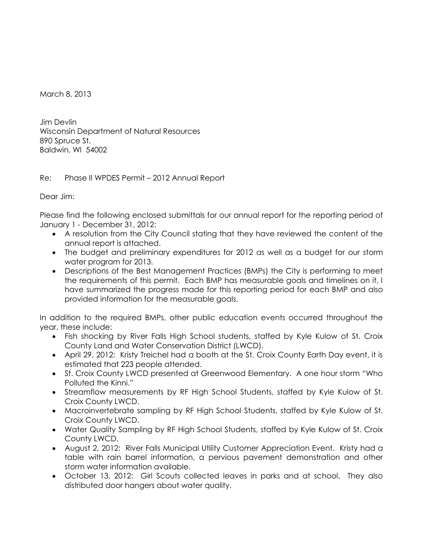March 8, 2013

Jim Devlin Wisconsin Department of Natural Resources 890 Spruce St. Baldwin, WI 54002

# Re: Phase II WPDES Permit – 2012 Annual Report

Dear Jim:

Please find the following enclosed submittals for our annual report for the reporting period of January 1 - December 31, 2012:

- A resolution from the City Council stating that they have reviewed the content of the annual report is attached.
- The budget and preliminary expenditures for 2012 as well as a budget for our storm water program for 2013.
- Descriptions of the Best Management Practices (BMPs) the City is performing to meet the requirements of this permit. Each BMP has measurable goals and timelines on it, I have summarized the progress made for this reporting period for each BMP and also provided information for the measurable goals.

In addition to the required BMPs, other public education events occurred throughout the year, these include:

- Fish shocking by River Falls High School students, staffed by Kyle Kulow of St. Croix County Land and Water Conservation District (LWCD).
- April 29, 2012: Kristy Treichel had a booth at the St. Croix County Earth Day event, it is estimated that 223 people attended.
- St. Croix County LWCD presented at Greenwood Elementary. A one hour storm "Who Polluted the Kinni."
- Streamflow measurements by RF High School Students, staffed by Kyle Kulow of St. Croix County LWCD.
- Macroinvertebrate sampling by RF High School Students, staffed by Kyle Kulow of St. Croix County LWCD.
- Water Quality Sampling by RF High School Students, staffed by Kyle Kulow of St. Croix County LWCD.
- August 2, 2012: River Falls Municipal Utility Customer Appreciation Event. Kristy had a table with rain barrel information, a pervious pavement demonstration and other storm water information available.
- October 13, 2012: Girl Scouts collected leaves in parks and at school. They also distributed door hangers about water quality.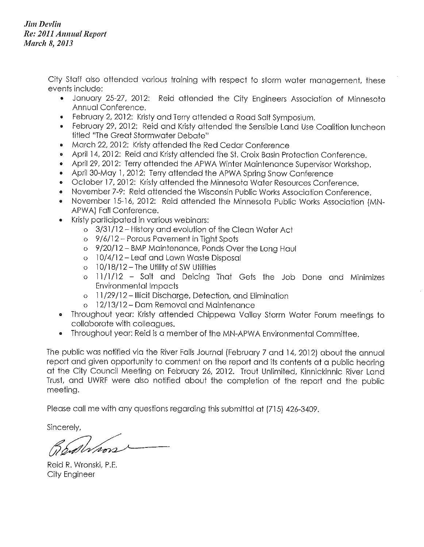**Jim Devlin** Re: 2011 Annual Report **March 8, 2013** 

> City Staff also attended various training with respect to storm water management, these events include:

- January 25-27, 2012: Reid attended the City Engineers Association of Minnesota  $\bullet$ Annual Conference.
- February 2, 2012: Kristy and Terry attended a Road Salt Symposium.
- February 29, 2012: Reid and Kristy attended the Sensible Land Use Coalition luncheon titled "The Great Stormwater Debate"
- March 22, 2012: Kristy attended the Red Cedar Conference  $\bullet$
- April 14, 2012: Reid and Kristy attended the St. Croix Basin Protection Conference.  $\bullet$
- April 29, 2012: Terry attended the APWA Winter Maintenance Supervisor Workshop.  $\bullet$
- April 30-May 1, 2012: Terry attended the APWA Spring Snow Conference  $\bullet$
- October 17, 2012: Kristy attended the Minnesota Water Resources Conference.  $\bullet$
- November 7-9: Reid attended the Wisconsin Public Works Association Conference.
- November 15-16, 2012: Reid attended the Minnesota Public Works Association (MN- $\bullet$ APWA) Fall Conference.
- Kristy participated in various webinars:  $\ddot{\phantom{a}}$ 
	- o 3/31/12 History and evolution of the Clean Water Act
	- o 9/6/12 Porous Pavement in Tight Spots
	- o 9/20/12 BMP Maintenance, Ponds Over the Long Haul
	- o 10/4/12 Leaf and Lawn Waste Disposal
	- $\circ$  10/18/12 The Utility of SW Utilities
	- o 11/1/12 Salt and Deicing That Gets the Job Done and Minimizes **Environmental Impacts**
	- o 11/29/12 Illicit Discharge, Detection, and Elimination
	- o 12/13/12 Dam Removal and Maintenance
- Throughout year: Kristy attended Chippewa Valley Storm Water Forum meetings to  $\bullet$ collaborate with colleagues.
- Throughout year: Reid is a member of the MN-APWA Environmental Committee.  $\bullet$

The public was notified via the River Falls Journal (February 7 and 14, 2012) about the annual report and given opportunity to comment on the report and its contents at a public hearing at the City Council Meeting on February 26, 2012. Trout Unlimited, Kinnickinnic River Land Trust, and UWRF were also notified about the completion of the report and the public meeting.

Please call me with any questions regarding this submittal at (715) 426-3409.

Sincerely,

ballv*loor* 

Reid R. Wronski, P.E. City Engineer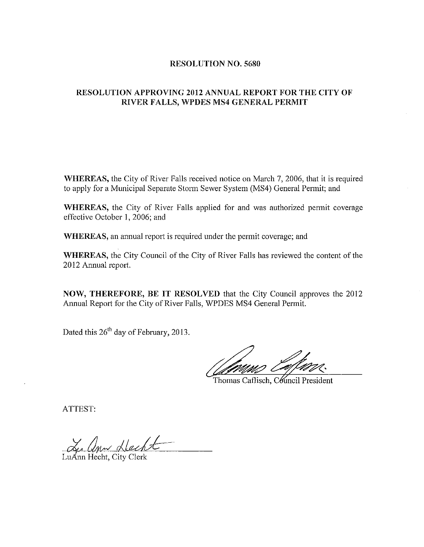### **RESOLUTION NO. 5680**

## **RESOLUTION APPROVING 2012 ANNUAL REPORT FOR THE CITY OF** RIVER FALLS, WPDES MS4 GENERAL PERMIT

WHEREAS, the City of River Falls received notice on March 7, 2006, that it is required to apply for a Municipal Separate Storm Sewer System (MS4) General Permit; and

WHEREAS, the City of River Falls applied for and was authorized permit coverage effective October 1, 2006; and

WHEREAS, an annual report is required under the permit coverage; and

WHEREAS, the City Council of the City of River Falls has reviewed the content of the 2012 Annual report.

NOW, THEREFORE, BE IT RESOLVED that the City Council approves the 2012 Annual Report for the City of River Falls, WPDES MS4 General Permit.

Dated this 26<sup>th</sup> day of February, 2013.

Thomas Caflisch, Council President

ATTEST:

Ludon Necht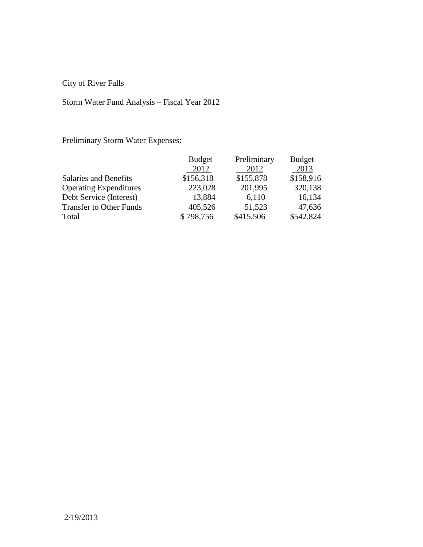City of River Falls

# Storm Water Fund Analysis – Fiscal Year 2012

Preliminary Storm Water Expenses:

|                                | <b>Budget</b> | Preliminary | <b>Budget</b> |
|--------------------------------|---------------|-------------|---------------|
|                                | 2012          | 2012        | 2013          |
| Salaries and Benefits          | \$156,318     | \$155,878   | \$158,916     |
| <b>Operating Expenditures</b>  | 223,028       | 201,995     | 320,138       |
| Debt Service (Interest)        | 13,884        | 6,110       | 16,134        |
| <b>Transfer to Other Funds</b> | 405,526       | 51,523      | 47,636        |
| Total                          | \$798,756     | \$415,506   | \$542,824     |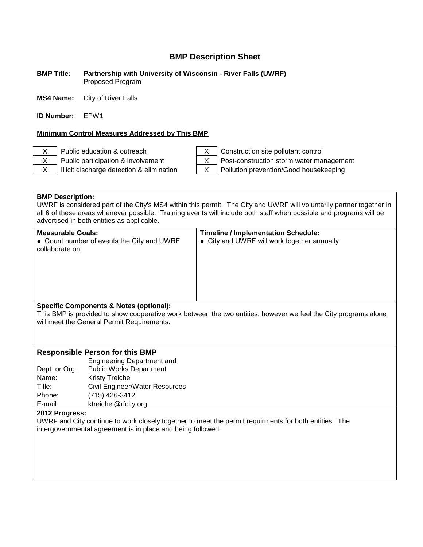#### **BMP Title: Partnership with University of Wisconsin - River Falls (UWRF)** Proposed Program

**MS4 Name:** City of River Falls

**ID Number:** EPW1

### **Minimum Control Measures Addressed by This BMP**

X Public education & outreach X Construction site pollutant control X Public participation & involvement X | Post-construction storm water management

 $X$  | Illicit discharge detection & elimination  $X$  | Pollution prevention/Good housekeeping

**BMP Description:** UWRF is considered part of the City's MS4 within this permit. The City and UWRF will voluntarily partner together in all 6 of these areas whenever possible. Training events will include both staff when possible and programs will be advertised in both entities as applicable.

| <b>Measurable Goals:</b><br>• Count number of events the City and UWRF<br>collaborate on. | <b>Timeline / Implementation Schedule:</b><br>• City and UWRF will work together annually |
|-------------------------------------------------------------------------------------------|-------------------------------------------------------------------------------------------|
| Specific Components & Notes (optional)                                                    |                                                                                           |

### **Specific Components & Notes (optional):**

This BMP is provided to show cooperative work between the two entities, however we feel the City programs alone will meet the General Permit Requirements.

### **Responsible Person for this BMP**

|               | <b>Engineering Department and</b> |
|---------------|-----------------------------------|
| Dept. or Org: | <b>Public Works Department</b>    |
| Name:         | <b>Kristy Treichel</b>            |
| Title:        | Civil Engineer/Water Resources    |
| Phone:        | (715) 426-3412                    |
| E-mail:       | ktreichel@rfcity.org              |

#### **2012 Progress:**

UWRF and City continue to work closely together to meet the permit requirments for both entities. The intergovernmental agreement is in place and being followed.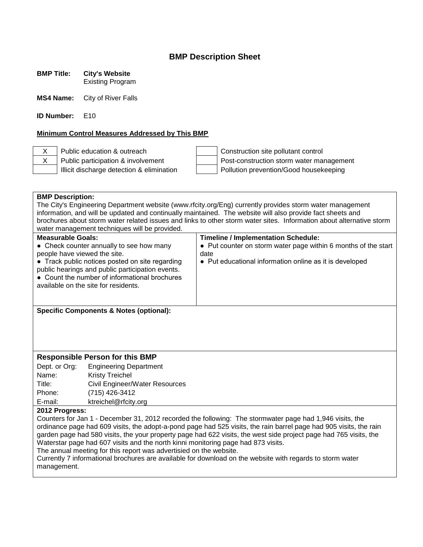**BMP Title: City's Website**

Existing Program

**MS4 Name:** City of River Falls

**ID Number:** E10

### **Minimum Control Measures Addressed by This BMP**

X Public education & outreach  $\vert$  | Construction site pollutant control  $X$  Public participation & involvement Post-construction storm water management Illicit discharge detection & elimination  $\parallel$  | Pollution prevention/Good housekeeping

| <b>BMP Description:</b>                                                                                            |                                                                                                     |                                                                                                                      |  |
|--------------------------------------------------------------------------------------------------------------------|-----------------------------------------------------------------------------------------------------|----------------------------------------------------------------------------------------------------------------------|--|
| The City's Engineering Department website (www.rfcity.org/Eng) currently provides storm water management           |                                                                                                     |                                                                                                                      |  |
|                                                                                                                    |                                                                                                     | information, and will be updated and continually maintained. The website will also provide fact sheets and           |  |
|                                                                                                                    |                                                                                                     | brochures about storm water related issues and links to other storm water sites. Information about alternative storm |  |
|                                                                                                                    | water management techniques will be provided.                                                       |                                                                                                                      |  |
|                                                                                                                    | <b>Measurable Goals:</b><br><b>Timeline / Implementation Schedule:</b>                              |                                                                                                                      |  |
|                                                                                                                    | • Check counter annually to see how many                                                            | • Put counter on storm water page within 6 months of the start                                                       |  |
| people have viewed the site.                                                                                       |                                                                                                     | date                                                                                                                 |  |
|                                                                                                                    | • Track public notices posted on site regarding<br>public hearings and public participation events. | • Put educational information online as it is developed                                                              |  |
|                                                                                                                    | • Count the number of informational brochures                                                       |                                                                                                                      |  |
|                                                                                                                    | available on the site for residents.                                                                |                                                                                                                      |  |
|                                                                                                                    |                                                                                                     |                                                                                                                      |  |
|                                                                                                                    |                                                                                                     |                                                                                                                      |  |
|                                                                                                                    | <b>Specific Components &amp; Notes (optional):</b>                                                  |                                                                                                                      |  |
|                                                                                                                    |                                                                                                     |                                                                                                                      |  |
|                                                                                                                    |                                                                                                     |                                                                                                                      |  |
|                                                                                                                    |                                                                                                     |                                                                                                                      |  |
|                                                                                                                    |                                                                                                     |                                                                                                                      |  |
| <b>Responsible Person for this BMP</b>                                                                             |                                                                                                     |                                                                                                                      |  |
| Dept. or Org:                                                                                                      | <b>Engineering Department</b>                                                                       |                                                                                                                      |  |
| Name:                                                                                                              | <b>Kristy Treichel</b>                                                                              |                                                                                                                      |  |
| Title:                                                                                                             | Civil Engineer/Water Resources                                                                      |                                                                                                                      |  |
| Phone:                                                                                                             | (715) 426-3412                                                                                      |                                                                                                                      |  |
| E-mail:<br>ktreichel@rfcity.org                                                                                    |                                                                                                     |                                                                                                                      |  |
| 2012 Progress:                                                                                                     |                                                                                                     |                                                                                                                      |  |
| Counters for Jan 1 - December 31, 2012 recorded the following: The stormwater page had 1,946 visits, the           |                                                                                                     |                                                                                                                      |  |
| ordinance page had 609 visits, the adopt-a-pond page had 525 visits, the rain barrel page had 905 visits, the rain |                                                                                                     |                                                                                                                      |  |
| garden page had 580 visits, the your property page had 622 visits, the west side project page had 765 visits, the  |                                                                                                     |                                                                                                                      |  |
| Waterstar page had 607 visits and the north kinni monitoring page had 873 visits.                                  |                                                                                                     |                                                                                                                      |  |
| The annual meeting for this report was advertisied on the website.                                                 |                                                                                                     |                                                                                                                      |  |
| Currently 7 informational brochures are available for download on the website with regards to storm water          |                                                                                                     |                                                                                                                      |  |
| management.                                                                                                        |                                                                                                     |                                                                                                                      |  |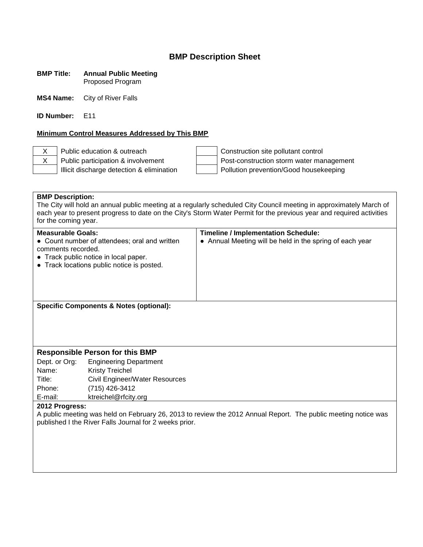#### **BMP Title: Annual Public Meeting** Proposed Program

**MS4 Name:** City of River Falls

**ID Number:** E11

### **Minimum Control Measures Addressed by This BMP**

X Public education & outreach Construction site pollutant control X Public participation & involvement Post-construction storm water management Illicit discharge detection & elimination Pollution prevention/Good housekeeping

**BMP Description:** The City will hold an annual public meeting at a regularly scheduled City Council meeting in approximately March of each year to present progress to date on the City's Storm Water Permit for the previous year and required activities for the coming year. **Measurable Goals: Timeline / Implementation Schedule:** • Count number of attendees; oral and written comments recorded. ● Track public notice in local paper. ● Track locations public notice is posted. • Annual Meeting will be held in the spring of each year **Specific Components & Notes (optional): Responsible Person for this BMP** Dept. or Org: Engineering Department Name: Kristy Treichel Title: Civil Engineer/Water Resources Phone: (715) 426-3412 E-mail: ktreichel@rfcity.org **2012 Progress:** A public meeting was held on February 26, 2013 to review the 2012 Annual Report. The public meeting notice was published I the River Falls Journal for 2 weeks prior.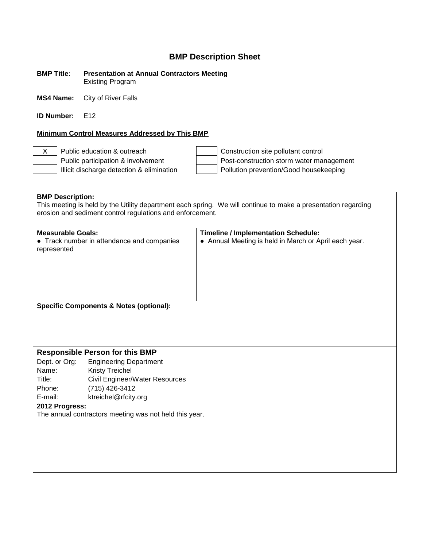**BMP Title: Presentation at Annual Contractors Meeting** Existing Program

**MS4 Name:** City of River Falls

**ID Number:** F12

### **Minimum Control Measures Addressed by This BMP**

X Public education & outreach Construction site pollutant control Public participation & involvement  $\vert$  Post-construction storm water management Illicit discharge detection & elimination  $\vert$  | Pollution prevention/Good housekeeping

**BMP Description:** This meeting is held by the Utility department each spring. We will continue to make a presentation regarding erosion and sediment control regulations and enforcement. **Measurable Goals: Timeline / Implementation Schedule:** • Track number in attendance and companies represented ● Annual Meeting is held in March or April each year. **Specific Components & Notes (optional): Responsible Person for this BMP** Dept. or Org: Engineering Department Name: Kristy Treichel Title: Civil Engineer/Water Resources Phone: (715) 426-3412 E-mail: ktreichel@rfcity.org **2012 Progress:** The annual contractors meeting was not held this year.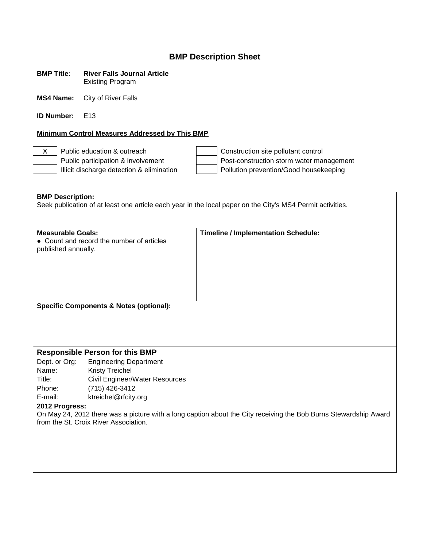| <b>BMP Title:</b> | <b>River Falls Journal Article</b> |
|-------------------|------------------------------------|
|                   | <b>Existing Program</b>            |

**MS4 Name:** City of River Falls

**ID Number:** E13

### **Minimum Control Measures Addressed by This BMP**

X Public education & outreach  $\vert$  | Construction site pollutant control Public participation & involvement<br>
Illicit discharge detection & elimination<br>
Post-construction storm water management<br>
Pollution prevention/Good housekeeping Pollution prevention/Good housekeeping

| <b>BMP Description:</b><br>Seek publication of at least one article each year in the local paper on the City's MS4 Permit activities. |                                           |                                            |  |
|---------------------------------------------------------------------------------------------------------------------------------------|-------------------------------------------|--------------------------------------------|--|
|                                                                                                                                       |                                           |                                            |  |
|                                                                                                                                       |                                           |                                            |  |
|                                                                                                                                       |                                           |                                            |  |
| <b>Measurable Goals:</b>                                                                                                              | • Count and record the number of articles | <b>Timeline / Implementation Schedule:</b> |  |
| published annually.                                                                                                                   |                                           |                                            |  |
|                                                                                                                                       |                                           |                                            |  |
|                                                                                                                                       |                                           |                                            |  |
|                                                                                                                                       |                                           |                                            |  |
|                                                                                                                                       |                                           |                                            |  |
|                                                                                                                                       |                                           |                                            |  |
|                                                                                                                                       |                                           |                                            |  |
| <b>Specific Components &amp; Notes (optional):</b>                                                                                    |                                           |                                            |  |
|                                                                                                                                       |                                           |                                            |  |
|                                                                                                                                       |                                           |                                            |  |
|                                                                                                                                       |                                           |                                            |  |
|                                                                                                                                       |                                           |                                            |  |
| <b>Responsible Person for this BMP</b>                                                                                                |                                           |                                            |  |
| Dept. or Org:                                                                                                                         | <b>Engineering Department</b>             |                                            |  |
| Name:                                                                                                                                 | <b>Kristy Treichel</b>                    |                                            |  |
| Title:                                                                                                                                | Civil Engineer/Water Resources            |                                            |  |
| Phone:                                                                                                                                | (715) 426-3412                            |                                            |  |
| E-mail:                                                                                                                               | ktreichel@rfcity.org                      |                                            |  |
| 2012 Progress:                                                                                                                        |                                           |                                            |  |
| On May 24, 2012 there was a picture with a long caption about the City receiving the Bob Burns Stewardship Award                      |                                           |                                            |  |
| from the St. Croix River Association.                                                                                                 |                                           |                                            |  |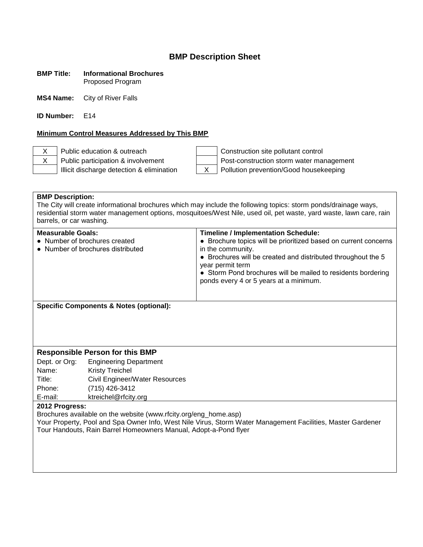### **BMP Title: Informational Brochures** Proposed Program

**MS4 Name:** City of River Falls

**ID Number:** F14

### **Minimum Control Measures Addressed by This BMP**

X Public education & outreach Construction site pollutant control X Public participation & involvement Post-construction storm water management Illicit discharge detection & elimination X Pollution prevention/Good housekeeping

### **BMP Description:**

The City will create informational brochures which may include the following topics: storm ponds/drainage ways, residential storm water management options, mosquitoes/West Nile, used oil, pet waste, yard waste, lawn care, rain barrels, or car washing.

| <b>Measurable Goals:</b><br>• Number of brochures created<br>• Number of brochures distributed | <b>Timeline / Implementation Schedule:</b><br>• Brochure topics will be prioritized based on current concerns<br>in the community.<br>• Brochures will be created and distributed throughout the 5<br>year permit term<br>• Storm Pond brochures will be mailed to residents bordering<br>ponds every 4 or 5 years at a minimum. |
|------------------------------------------------------------------------------------------------|----------------------------------------------------------------------------------------------------------------------------------------------------------------------------------------------------------------------------------------------------------------------------------------------------------------------------------|
| ___________________________________                                                            |                                                                                                                                                                                                                                                                                                                                  |

**Specific Components & Notes (optional):**

### **Responsible Person for this BMP**

Dept. or Org: Engineering Department Name: Kristy Treichel Title: Civil Engineer/Water Resources Phone: (715) 426-3412 E-mail: ktreichel@rfcity.org

### **2012 Progress:**

Brochures available on the website (www.rfcity.org/eng\_home.asp)

Your Property, Pool and Spa Owner Info, West Nile Virus, Storm Water Management Facilities, Master Gardener Tour Handouts, Rain Barrel Homeowners Manual, Adopt-a-Pond flyer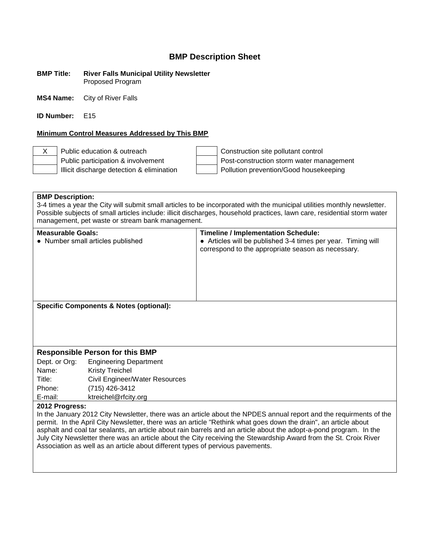#### **BMP Title: River Falls Municipal Utility Newsletter** Proposed Program

**MS4 Name:** City of River Falls

**ID Number:** E15

### **Minimum Control Measures Addressed by This BMP**

X Public education & outreach Construction site pollutant control Public participation & involvement  $\vert$  Post-construction storm water management Illicit discharge detection & elimination Pollution prevention/Good housekeeping

### **BMP Description:**

3-4 times a year the City will submit small articles to be incorporated with the municipal utilities monthly newsletter. Possible subjects of small articles include: illicit discharges, household practices, lawn care, residential storm water management, pet waste or stream bank management.

| <b>Measurable Goals:</b><br>• Number small articles published | <b>Timeline / Implementation Schedule:</b><br>• Articles will be published 3-4 times per year. Timing will<br>correspond to the appropriate season as necessary. |
|---------------------------------------------------------------|------------------------------------------------------------------------------------------------------------------------------------------------------------------|
| <b>Specific Components &amp; Notes (optional):</b>            |                                                                                                                                                                  |

### **Responsible Person for this BMP**

| Dept. or Org: | <b>Engineering Department</b>  |
|---------------|--------------------------------|
| Name:         | <b>Kristy Treichel</b>         |
| Title:        | Civil Engineer/Water Resources |
| Phone:        | (715) 426-3412                 |
| E-mail:       | ktreichel@rfcity.org           |

### **2012 Progress:**

In the January 2012 City Newsletter, there was an article about the NPDES annual report and the requirments of the permit. In the April City Newsletter, there was an article "Rethink what goes down the drain", an article about asphalt and coal tar sealants, an article about rain barrels and an article about the adopt-a-pond program. In the July City Newsletter there was an article about the City receiving the Stewardship Award from the St. Croix River Association as well as an article about different types of pervious pavements.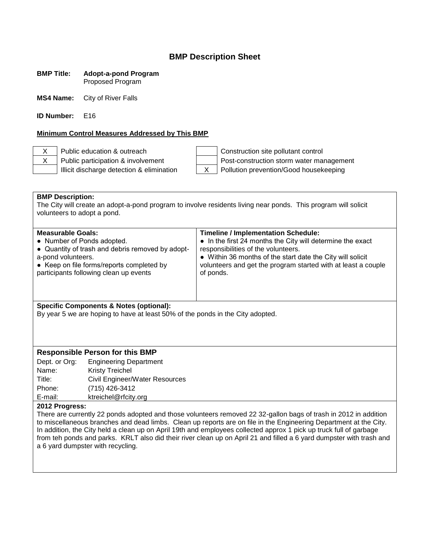### **BMP Title: Adopt-a-pond Program** Proposed Program

**MS4 Name:** City of River Falls

**ID Number:** E16

### **Minimum Control Measures Addressed by This BMP**

X Public education & outreach Construction site pollutant control X Public participation & involvement Post-construction storm water management Illicit discharge detection & elimination X Pollution prevention/Good housekeeping

**BMP Description:** The City will create an adopt-a-pond program to involve residents living near ponds. This program will solicit volunteers to adopt a pond.

### **Specific Components & Notes (optional):**

By year 5 we are hoping to have at least 50% of the ponds in the City adopted.

### **Responsible Person for this BMP**

Dept. or Org: Engineering Department Name: Kristy Treichel Title: Civil Engineer/Water Resources Phone: (715) 426-3412 E-mail: ktreichel@rfcity.org

### **2012 Progress:**

There are currently 22 ponds adopted and those volunteers removed 22 32-gallon bags of trash in 2012 in addition to miscellaneous branches and dead limbs. Clean up reports are on file in the Engineering Department at the City. In addition, the City held a clean up on April 19th and employees collected approx 1 pick up truck full of garbage from teh ponds and parks. KRLT also did their river clean up on April 21 and filled a 6 yard dumpster with trash and a 6 yard dumpster with recycling.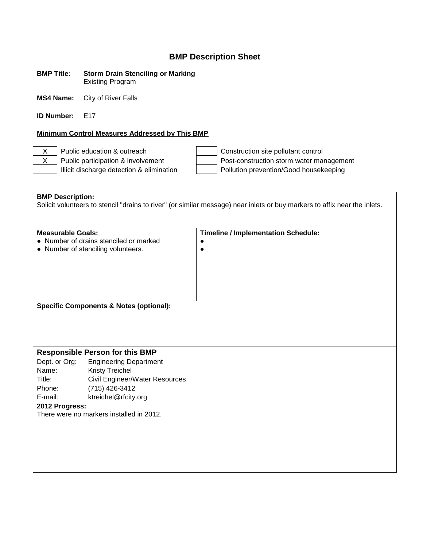#### **BMP Title: Storm Drain Stenciling or Marking** Existing Program

**MS4 Name:** City of River Falls

**ID Number:** E17

### **Minimum Control Measures Addressed by This BMP**

X Public education & outreach  $\vert$  | Construction site pollutant control X Public participation & involvement Post-construction storm water management Illicit discharge detection & elimination Pollution prevention/Good housekeeping

**BMP Description:** Solicit volunteers to stencil "drains to river" (or similar message) near inlets or buy markers to affix near the inlets. **Measurable Goals: Timeline / Implementation Schedule:** ● Number of drains stenciled or marked ● Number of stenciling volunteers. ●  $\bullet$ **Specific Components & Notes (optional): Responsible Person for this BMP** Dept. or Org: Engineering Department Name: Kristy Treichel Title: Civil Engineer/Water Resources Phone: (715) 426-3412 E-mail: ktreichel@rfcity.org **2012 Progress:** There were no markers installed in 2012.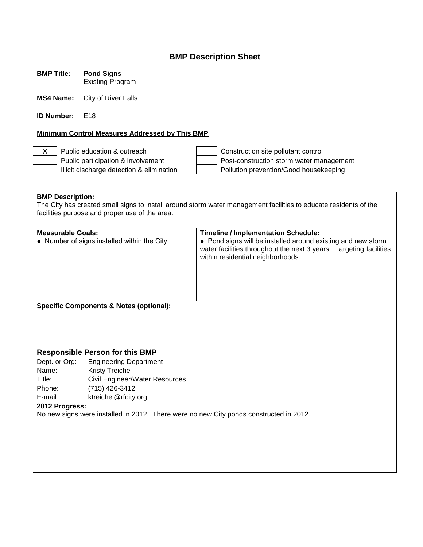**BMP Title: Pond Signs** Existing Program

**MS4 Name:** City of River Falls

**ID Number:** F18

### **Minimum Control Measures Addressed by This BMP**

X Public education & outreach  $\vert$  | Construction site pollutant control Public participation & involvement  $\vert$  Post-construction storm water management Illicit discharge detection & elimination  $\vert$  | Pollution prevention/Good housekeeping

**BMP Description:** The City has created small signs to install around storm water management facilities to educate residents of the facilities purpose and proper use of the area. **Measurable Goals: Timeline / Implementation Schedule:** ● Number of signs installed within the City.  $\cdot \cdot$  Pond signs will be installed around existing and new storm water facilities throughout the next 3 years. Targeting facilities within residential neighborhoods. **Specific Components & Notes (optional): Responsible Person for this BMP** Dept. or Org: Engineering Department Name: Kristy Treichel Title: Civil Engineer/Water Resources Phone: (715) 426-3412 E-mail: ktreichel@rfcity.org **2012 Progress:** No new signs were installed in 2012. There were no new City ponds constructed in 2012.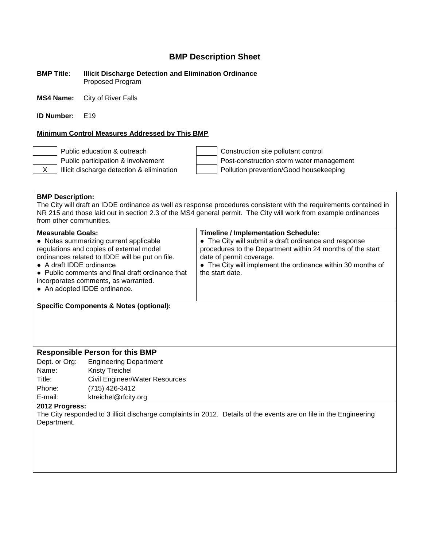**BMP Title: Illicit Discharge Detection and Elimination Ordinance** Proposed Program

**MS4 Name:** City of River Falls

**ID Number:** F19

### **Minimum Control Measures Addressed by This BMP**

Public education & outreach Construction site pollutant control Public participation & involvement  $\vert$  Post-construction storm water management X | Illicit discharge detection & elimination | Pollution prevention/Good housekeeping

### **BMP Description:**

The City will draft an IDDE ordinance as well as response procedures consistent with the requirements contained in NR 215 and those laid out in section 2.3 of the MS4 general permit. The City will work from example ordinances from other communities.

| ordinances related to IDDE will be put on file.<br>date of permit coverage.<br>• The City will implement the ordinance within 30 months of<br>• A draft IDDE ordinance<br>the start date.<br>• Public comments and final draft ordinance that<br>incorporates comments, as warranted.<br>• An adopted IDDE ordinance. | <b>Measurable Goals:</b><br>• Notes summarizing current applicable<br>regulations and copies of external model | <b>Timeline / Implementation Schedule:</b><br>• The City will submit a draft ordinance and response<br>procedures to the Department within 24 months of the start |
|-----------------------------------------------------------------------------------------------------------------------------------------------------------------------------------------------------------------------------------------------------------------------------------------------------------------------|----------------------------------------------------------------------------------------------------------------|-------------------------------------------------------------------------------------------------------------------------------------------------------------------|
|-----------------------------------------------------------------------------------------------------------------------------------------------------------------------------------------------------------------------------------------------------------------------------------------------------------------------|----------------------------------------------------------------------------------------------------------------|-------------------------------------------------------------------------------------------------------------------------------------------------------------------|

**Specific Components & Notes (optional):**

### **Responsible Person for this BMP**

Dept. or Org: Engineering Department Name: Kristy Treichel Title: Civil Engineer/Water Resources Phone: (715) 426-3412 E-mail: ktreichel@rfcity.org

### **2012 Progress:**

The City responded to 3 illicit discharge complaints in 2012. Details of the events are on file in the Engineering Department.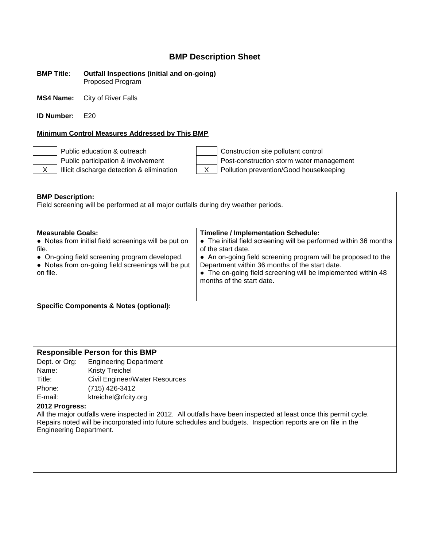#### **BMP Title: Outfall Inspections (initial and on-going)** Proposed Program

**MS4 Name:** City of River Falls

**ID Number:** E20

### **Minimum Control Measures Addressed by This BMP**

Public education & outreach Construction site pollutant control Public participation & involvement Post-construction storm water management  $X$  | Illicit discharge detection & elimination  $X$  | Pollution prevention/Good housekeeping

| <b>BMP Description:</b>                                                                                          |                                                                                                                                                             |                                                                                                                                                                                                                                                                                                                                                      |  |
|------------------------------------------------------------------------------------------------------------------|-------------------------------------------------------------------------------------------------------------------------------------------------------------|------------------------------------------------------------------------------------------------------------------------------------------------------------------------------------------------------------------------------------------------------------------------------------------------------------------------------------------------------|--|
| Field screening will be performed at all major outfalls during dry weather periods.                              |                                                                                                                                                             |                                                                                                                                                                                                                                                                                                                                                      |  |
|                                                                                                                  |                                                                                                                                                             |                                                                                                                                                                                                                                                                                                                                                      |  |
| <b>Measurable Goals:</b><br>file.<br>on file.                                                                    | • Notes from initial field screenings will be put on<br>• On-going field screening program developed.<br>• Notes from on-going field screenings will be put | <b>Timeline / Implementation Schedule:</b><br>• The initial field screening will be performed within 36 months<br>of the start date.<br>• An on-going field screening program will be proposed to the<br>Department within 36 months of the start date.<br>• The on-going field screening will be implemented within 48<br>months of the start date. |  |
|                                                                                                                  |                                                                                                                                                             |                                                                                                                                                                                                                                                                                                                                                      |  |
| <b>Specific Components &amp; Notes (optional):</b>                                                               |                                                                                                                                                             |                                                                                                                                                                                                                                                                                                                                                      |  |
|                                                                                                                  |                                                                                                                                                             |                                                                                                                                                                                                                                                                                                                                                      |  |
|                                                                                                                  |                                                                                                                                                             |                                                                                                                                                                                                                                                                                                                                                      |  |
|                                                                                                                  |                                                                                                                                                             |                                                                                                                                                                                                                                                                                                                                                      |  |
| <b>Responsible Person for this BMP</b>                                                                           |                                                                                                                                                             |                                                                                                                                                                                                                                                                                                                                                      |  |
| Dept. or Org:                                                                                                    | <b>Engineering Department</b>                                                                                                                               |                                                                                                                                                                                                                                                                                                                                                      |  |
| Name:                                                                                                            | <b>Kristy Treichel</b>                                                                                                                                      |                                                                                                                                                                                                                                                                                                                                                      |  |
| Title:                                                                                                           | Civil Engineer/Water Resources                                                                                                                              |                                                                                                                                                                                                                                                                                                                                                      |  |
| Phone:                                                                                                           | (715) 426-3412                                                                                                                                              |                                                                                                                                                                                                                                                                                                                                                      |  |
| E-mail:                                                                                                          | ktreichel@rfcity.org                                                                                                                                        |                                                                                                                                                                                                                                                                                                                                                      |  |
| 2012 Progress:                                                                                                   |                                                                                                                                                             |                                                                                                                                                                                                                                                                                                                                                      |  |
| All the major outfalls were inspected in 2012. All outfalls have been inspected at least once this permit cycle. |                                                                                                                                                             |                                                                                                                                                                                                                                                                                                                                                      |  |
| Repairs noted will be incorporated into future schedules and budgets. Inspection reports are on file in the      |                                                                                                                                                             |                                                                                                                                                                                                                                                                                                                                                      |  |
| <b>Engineering Department.</b>                                                                                   |                                                                                                                                                             |                                                                                                                                                                                                                                                                                                                                                      |  |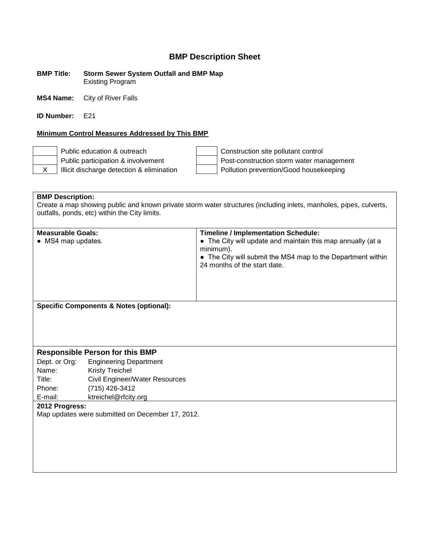**BMP Title: Storm Sewer System Outfall and BMP Map** Existing Program

**MS4 Name:** City of River Falls

**ID Number:** F<sub>21</sub>

### **Minimum Control Measures Addressed by This BMP**

Public education & outreach Construction site pollutant control Public participation & involvement  $\parallel$  | Post-construction storm water management X | Illicit discharge detection & elimination | Pollution prevention/Good housekeeping

**BMP Description:** Create a map showing public and known private storm water structures (including inlets, manholes, pipes, culverts, outfalls, ponds, etc) within the City limits.

| <b>Measurable Goals:</b><br>• MS4 map updates.     | <b>Timeline / Implementation Schedule:</b><br>• The City will update and maintain this map annually (at a<br>minimum).<br>• The City will submit the MS4 map to the Department within<br>24 months of the start date. |
|----------------------------------------------------|-----------------------------------------------------------------------------------------------------------------------------------------------------------------------------------------------------------------------|
| <b>Specific Components &amp; Notes (optional):</b> |                                                                                                                                                                                                                       |

### **Responsible Person for this BMP**

Dept. or Org: Engineering Department Name: Kristy Treichel Title: Civil Engineer/Water Resources Phone: (715) 426-3412 E-mail: ktreichel@rfcity.org

**2012 Progress:**

Map updates were submitted on December 17, 2012.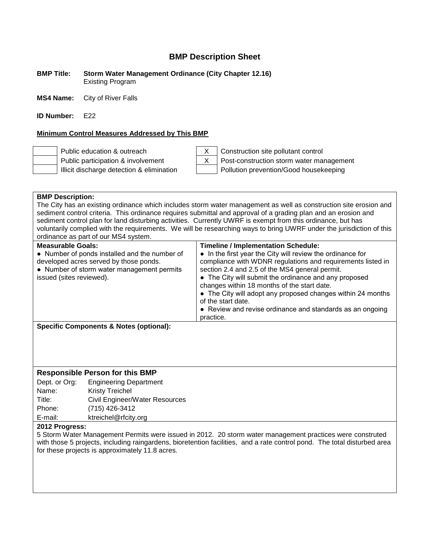**BMP Title: Storm Water Management Ordinance (City Chapter 12.16)** Existing Program

**MS4 Name:** City of River Falls

**ID Number:** F<sub>22</sub>

### **Minimum Control Measures Addressed by This BMP**



Public education & outreach X Construction site pollutant control Public participation & involvement  $\begin{vmatrix} x \\ y \end{vmatrix}$  Post-construction storm water management Illicit discharge detection & elimination  $\vert$  | Pollution prevention/Good housekeeping

| <b>BMP Description:</b>                                                                                                                                                                                                                                                                                                                                                                                                                                                                                                                                                                                                                                                                           |                                                                                                                      |  |  |
|---------------------------------------------------------------------------------------------------------------------------------------------------------------------------------------------------------------------------------------------------------------------------------------------------------------------------------------------------------------------------------------------------------------------------------------------------------------------------------------------------------------------------------------------------------------------------------------------------------------------------------------------------------------------------------------------------|----------------------------------------------------------------------------------------------------------------------|--|--|
| The City has an existing ordinance which includes storm water management as well as construction site erosion and<br>sediment control criteria. This ordinance requires submittal and approval of a grading plan and an erosion and<br>sediment control plan for land disturbing activities. Currently UWRF is exempt from this ordinance, but has                                                                                                                                                                                                                                                                                                                                                |                                                                                                                      |  |  |
|                                                                                                                                                                                                                                                                                                                                                                                                                                                                                                                                                                                                                                                                                                   | voluntarily complied with the requirements. We will be researching ways to bring UWRF under the jurisdiction of this |  |  |
| ordinance as part of our MS4 system.                                                                                                                                                                                                                                                                                                                                                                                                                                                                                                                                                                                                                                                              |                                                                                                                      |  |  |
| <b>Measurable Goals:</b><br><b>Timeline / Implementation Schedule:</b><br>• In the first year the City will review the ordinance for<br>• Number of ponds installed and the number of<br>compliance with WDNR regulations and requirements listed in<br>developed acres served by those ponds.<br>• Number of storm water management permits<br>section 2.4 and 2.5 of the MS4 general permit.<br>• The City will submit the ordinance and any proposed<br>issued (sites reviewed).<br>changes within 18 months of the start date.<br>• The City will adopt any proposed changes within 24 months<br>of the start date.<br>• Review and revise ordinance and standards as an ongoing<br>practice. |                                                                                                                      |  |  |
| <b>Specific Components &amp; Notes (optional):</b>                                                                                                                                                                                                                                                                                                                                                                                                                                                                                                                                                                                                                                                |                                                                                                                      |  |  |

### **Responsible Person for this BMP**

| Dept. or Org: | <b>Engineering Department</b>  |
|---------------|--------------------------------|
| Name:         | <b>Kristy Treichel</b>         |
| Title:        | Civil Engineer/Water Resources |
| Phone:        | (715) 426-3412                 |
| E-mail:       | ktreichel@rfcity.org           |
|               |                                |

### **2012 Progress:**

5 Storm Water Management Permits were issued in 2012. 20 storm water management practices were construted with those 5 projects, including raingardens, bioretention facilities, and a rate control pond. The total disturbed area for these projects is approximately 11.8 acres.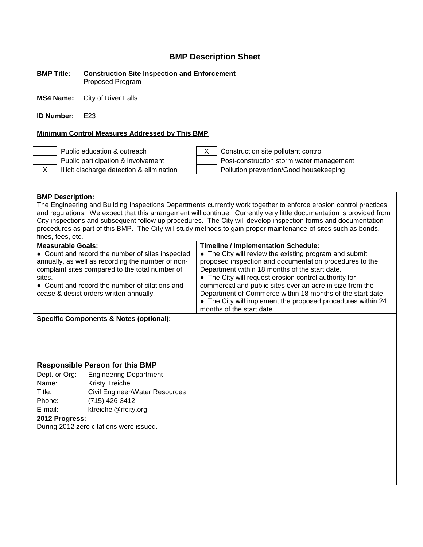#### **BMP Title: Construction Site Inspection and Enforcement** Proposed Program

**MS4 Name:** City of River Falls

**ID Number:** E23

### **Minimum Control Measures Addressed by This BMP**





Public education & outreach X Construction site pollutant control Public participation & involvement  $\parallel$  Post-construction storm water management X | Illicit discharge detection & elimination | Pollution prevention/Good housekeeping

### **BMP Description:**

The Engineering and Building Inspections Departments currently work together to enforce erosion control practices and regulations. We expect that this arrangement will continue. Currently very little documentation is provided from City inspections and subsequent follow up procedures. The City will develop inspection forms and documentation procedures as part of this BMP. The City will study methods to gain proper maintenance of sites such as bonds, fines, fees, etc.

| <b>Measurable Goals:</b>                          | <b>Timeline / Implementation Schedule:</b>                                                                        |
|---------------------------------------------------|-------------------------------------------------------------------------------------------------------------------|
| • Count and record the number of sites inspected  | • The City will review the existing program and submit<br>proposed inspection and documentation procedures to the |
| annually, as well as recording the number of non- |                                                                                                                   |
| complaint sites compared to the total number of   | Department within 18 months of the start date.                                                                    |
| sites.                                            | • The City will request erosion control authority for                                                             |
| • Count and record the number of citations and    | commercial and public sites over an acre in size from the                                                         |
| cease & desist orders written annually.           | Department of Commerce within 18 months of the start date.                                                        |
|                                                   | • The City will implement the proposed procedures within 24                                                       |
|                                                   | months of the start date.                                                                                         |
| Specific Components & Notes (ontional):           |                                                                                                                   |

**Specific Components & Notes (optional):**

### **Responsible Person for this BMP**

Dept. or Org: Engineering Department Name: Kristy Treichel Title: Civil Engineer/Water Resources Phone: (715) 426-3412 E-mail: ktreichel@rfcity.org

### **2012 Progress:**

During 2012 zero citations were issued.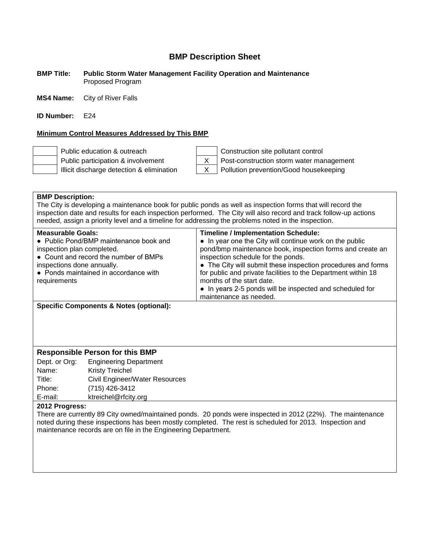#### **BMP Title: Public Storm Water Management Facility Operation and Maintenance** Proposed Program

**MS4 Name:** City of River Falls

**ID Number:** E24

### **Minimum Control Measures Addressed by This BMP**



Public education & outreach Construction site pollutant control Public participation & involvement  $\begin{vmatrix} X \\ Y \end{vmatrix}$  Post-construction storm water management Illicit discharge detection & elimination X Pollution prevention/Good housekeeping

### **BMP Description:**

The City is developing a maintenance book for public ponds as well as inspection forms that will record the inspection date and results for each inspection performed. The City will also record and track follow-up actions needed, assign a priority level and a timeline for addressing the problems noted in the inspection.

| <b>Measurable Goals:</b><br>• Public Pond/BMP maintenance book and<br>inspection plan completed.<br>• Count and record the number of BMPs<br>inspections done annually.<br>• Ponds maintained in accordance with<br>requirements | <b>Timeline / Implementation Schedule:</b><br>• In year one the City will continue work on the public<br>pond/bmp maintenance book, inspection forms and create an<br>inspection schedule for the ponds.<br>• The City will submit these inspection procedures and forms<br>for public and private facilities to the Department within 18<br>months of the start date.<br>• In years 2-5 ponds will be inspected and scheduled for |
|----------------------------------------------------------------------------------------------------------------------------------------------------------------------------------------------------------------------------------|------------------------------------------------------------------------------------------------------------------------------------------------------------------------------------------------------------------------------------------------------------------------------------------------------------------------------------------------------------------------------------------------------------------------------------|
|                                                                                                                                                                                                                                  | maintenance as needed.                                                                                                                                                                                                                                                                                                                                                                                                             |

**Specific Components & Notes (optional):**

### **Responsible Person for this BMP**

Dept. or Org: Engineering Department Name: Kristy Treichel Title: Civil Engineer/Water Resources Phone: (715) 426-3412 E-mail: ktreichel@rfcity.org

### **2012 Progress:**

There are currently 89 City owned/maintained ponds. 20 ponds were inspected in 2012 (22%). The maintenance noted during these inspections has been mostly completed. The rest is scheduled for 2013. Inspection and maintenance records are on file in the Engineering Department.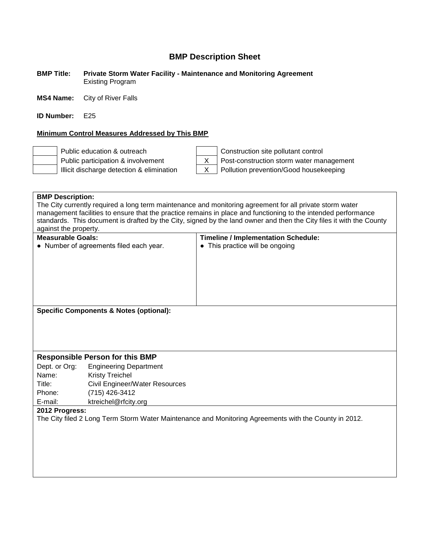### **BMP Title: Private Storm Water Facility - Maintenance and Monitoring Agreement** Existing Program

**MS4 Name:** City of River Falls

**ID Number:** E25

### **Minimum Control Measures Addressed by This BMP**

| the control of the control of the control |  |  |  |
|-------------------------------------------|--|--|--|
| the control of the control of the         |  |  |  |
|                                           |  |  |  |



Public education & outreach Construction site pollutant control Public participation & involvement<br>Illicit discharge detection & elimination<br> $\begin{array}{|c|c|c|c|c|}\n\hline\nX & \text{Polution prevention/Good housekeeping}\n\hline\n\end{array}$  $X$  | Pollution prevention/Good housekeeping

|                                                                                                                         | <b>BMP Description:</b>                                                                                        |                                                                                                                      |  |  |
|-------------------------------------------------------------------------------------------------------------------------|----------------------------------------------------------------------------------------------------------------|----------------------------------------------------------------------------------------------------------------------|--|--|
| The City currently required a long term maintenance and monitoring agreement for all private storm water                |                                                                                                                |                                                                                                                      |  |  |
|                                                                                                                         | management facilities to ensure that the practice remains in place and functioning to the intended performance |                                                                                                                      |  |  |
|                                                                                                                         |                                                                                                                | standards. This document is drafted by the City, signed by the land owner and then the City files it with the County |  |  |
| against the property.                                                                                                   |                                                                                                                |                                                                                                                      |  |  |
|                                                                                                                         | <b>Measurable Goals:</b><br><b>Timeline / Implementation Schedule:</b>                                         |                                                                                                                      |  |  |
|                                                                                                                         | • Number of agreements filed each year.                                                                        | • This practice will be ongoing                                                                                      |  |  |
|                                                                                                                         |                                                                                                                |                                                                                                                      |  |  |
|                                                                                                                         |                                                                                                                |                                                                                                                      |  |  |
|                                                                                                                         |                                                                                                                |                                                                                                                      |  |  |
|                                                                                                                         |                                                                                                                |                                                                                                                      |  |  |
|                                                                                                                         |                                                                                                                |                                                                                                                      |  |  |
|                                                                                                                         |                                                                                                                |                                                                                                                      |  |  |
|                                                                                                                         | <b>Specific Components &amp; Notes (optional):</b>                                                             |                                                                                                                      |  |  |
|                                                                                                                         |                                                                                                                |                                                                                                                      |  |  |
|                                                                                                                         |                                                                                                                |                                                                                                                      |  |  |
|                                                                                                                         |                                                                                                                |                                                                                                                      |  |  |
|                                                                                                                         |                                                                                                                |                                                                                                                      |  |  |
|                                                                                                                         | <b>Responsible Person for this BMP</b>                                                                         |                                                                                                                      |  |  |
| Dept. or Org:                                                                                                           | <b>Engineering Department</b>                                                                                  |                                                                                                                      |  |  |
| Name:                                                                                                                   | <b>Kristy Treichel</b>                                                                                         |                                                                                                                      |  |  |
| Title:                                                                                                                  | Civil Engineer/Water Resources                                                                                 |                                                                                                                      |  |  |
| Phone:                                                                                                                  | (715) 426-3412                                                                                                 |                                                                                                                      |  |  |
| E-mail:                                                                                                                 | ktreichel@rfcity.org                                                                                           |                                                                                                                      |  |  |
|                                                                                                                         |                                                                                                                |                                                                                                                      |  |  |
| 2012 Progress:<br>The City filed 2 Long Term Storm Water Maintenance and Monitoring Agreements with the County in 2012. |                                                                                                                |                                                                                                                      |  |  |
|                                                                                                                         |                                                                                                                |                                                                                                                      |  |  |
|                                                                                                                         |                                                                                                                |                                                                                                                      |  |  |
|                                                                                                                         |                                                                                                                |                                                                                                                      |  |  |
|                                                                                                                         |                                                                                                                |                                                                                                                      |  |  |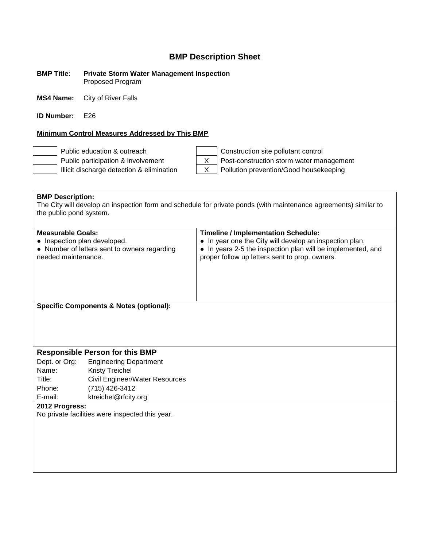#### **BMP Title: Private Storm Water Management Inspection** Proposed Program

**MS4 Name:** City of River Falls

**ID Number:** E26

### **Minimum Control Measures Addressed by This BMP**





Public education & outreach Construction site pollutant control Public participation & involvement  $\begin{vmatrix} X \\ \end{vmatrix}$  Post-construction storm water management Illicit discharge detection & elimination  $\begin{vmatrix} X & \text{Polution} \end{vmatrix}$  Pollution prevention/Good housekeeping

**BMP Description:** The City will develop an inspection form and schedule for private ponds (with maintenance agreements) similar to the public pond system.

| <b>Measurable Goals:</b>                     | <b>Timeline / Implementation Schedule:</b>                  |
|----------------------------------------------|-------------------------------------------------------------|
| • Inspection plan developed.                 | • In year one the City will develop an inspection plan.     |
| • Number of letters sent to owners regarding | • In years 2-5 the inspection plan will be implemented, and |
| needed maintenance.                          | proper follow up letters sent to prop. owners.              |
| Specific Components & Notes (optional):      |                                                             |

### **Responsible Person for this BMP**

Dept. or Org: Engineering Department Name: Kristy Treichel Title: Civil Engineer/Water Resources Phone: (715) 426-3412 E-mail: ktreichel@rfcity.org

**2012 Progress:**

No private facilities were inspected this year.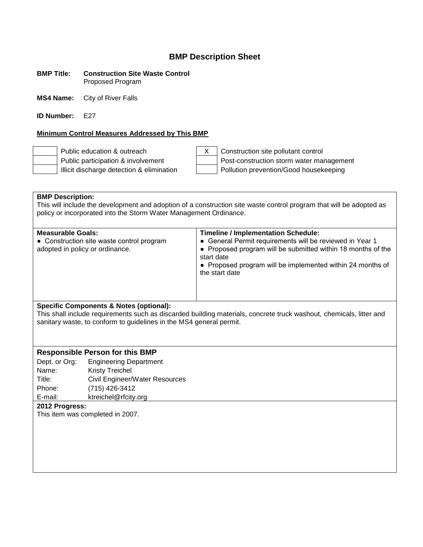#### **BMP Title: Construction Site Waste Control** Proposed Program

**MS4 Name:** City of River Falls

**ID Number:** F27

### **Minimum Control Measures Addressed by This BMP**



Public education & outreach X Construction site pollutant control Public participation & involvement  $\vert$  Post-construction storm water management Illicit discharge detection & elimination  $\vert$  | Pollution prevention/Good housekeeping

**BMP Description:** This will include the development and adoption of a construction site waste control program that will be adopted as policy or incorporated into the Storm Water Management Ordinance.

| <b>Measurable Goals:</b><br>• Construction site waste control program<br>adopted in policy or ordinance. | <b>Timeline / Implementation Schedule:</b><br>• General Permit requirements will be reviewed in Year 1<br>• Proposed program will be submitted within 18 months of the<br>start date<br>• Proposed program will be implemented within 24 months of<br>the start date |
|----------------------------------------------------------------------------------------------------------|----------------------------------------------------------------------------------------------------------------------------------------------------------------------------------------------------------------------------------------------------------------------|
|                                                                                                          |                                                                                                                                                                                                                                                                      |

### **Specific Components & Notes (optional):**

This shall include requirements such as discarded building materials, concrete truck washout, chemicals, litter and sanitary waste, to conform to guidelines in the MS4 general permit.

### **Responsible Person for this BMP**

Dept. or Org: Engineering Department Name: Kristy Treichel Title: Civil Engineer/Water Resources Phone: (715) 426-3412 E-mail: ktreichel@rfcity.org

### **2012 Progress:**

This item was completed in 2007.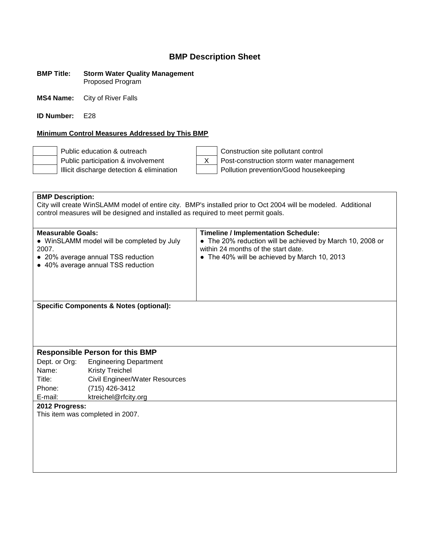#### **BMP Title: Storm Water Quality Management** Proposed Program

**MS4 Name:** City of River Falls

**ID Number:** E28

### **Minimum Control Measures Addressed by This BMP**

Public education & outreach Construction site pollutant control

Public participation & involvement X Post-construction storm water management Illicit discharge detection & elimination  $\vert$  | Pollution prevention/Good housekeeping

**BMP Description:** City will create WinSLAMM model of entire city. BMP's installed prior to Oct 2004 will be modeled. Additional control measures will be designed and installed as required to meet permit goals. **Measurable Goals: Timeline / Implementation Schedule:** • WinSLAMM model will be completed by July 2007. ● 20% average annual TSS reduction ● 40% average annual TSS reduction • The 20% reduction will be achieved by March 10, 2008 or within 24 months of the start date. • The 40% will be achieved by March 10, 2013 **Specific Components & Notes (optional): Responsible Person for this BMP** Dept. or Org: Engineering Department Name: Kristy Treichel Title: Civil Engineer/Water Resources Phone: (715) 426-3412 E-mail: ktreichel@rfcity.org **2012 Progress:** This item was completed in 2007.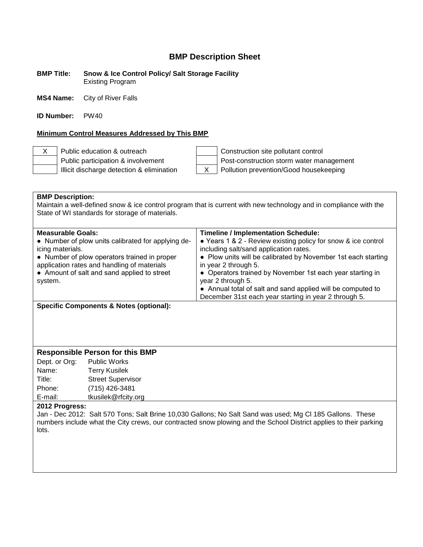**BMP Title: Snow & Ice Control Policy/ Salt Storage Facility** Existing Program

**MS4 Name:** City of River Falls

**ID Number:** PW40

### **Minimum Control Measures Addressed by This BMP**

X Public education & outreach Construction site pollutant control Public participation & involvement  $\vert$  Post-construction storm water management Illicit discharge detection & elimination  $\begin{vmatrix} X & \end{vmatrix}$  Pollution prevention/Good housekeeping

**BMP Description:** Maintain a well-defined snow & ice control program that is current with new technology and in compliance with the State of WI standards for storage of materials. **Measurable Goals: Timeline / Implementation Schedule:** ● Number of plow units calibrated for applying de-● Years 1 & 2 - Review existing policy for snow & ice control

| application rates and handling of materials<br>• Amount of salt and sand applied to street<br>system. | in year 2 through 5.<br>• Operators trained by November 1st each year starting in<br>year 2 through 5.<br>• Annual total of salt and sand applied will be computed to<br>December 31st each year starting in year 2 through 5. |
|-------------------------------------------------------------------------------------------------------|--------------------------------------------------------------------------------------------------------------------------------------------------------------------------------------------------------------------------------|
| icing materials.<br>• Number of plow operators trained in proper                                      | including salt/sand application rates.<br>• Plow units will be calibrated by November 1st each starting                                                                                                                        |
| • Number of plow units calibrated for applying de-                                                    | • Years 1 & 2 - Review existing policy for snow & ice control                                                                                                                                                                  |

**Specific Components & Notes (optional):**

### **Responsible Person for this BMP**

Dept. or Org: Public Works Name: Terry Kusilek Title: Street Supervisor Phone: (715) 426-3481 E-mail: tkusilek@rfcity.org

### **2012 Progress:**

Jan - Dec 2012: Salt 570 Tons; Salt Brine 10,030 Gallons; No Salt Sand was used; Mg Cl 185 Gallons. These numbers include what the City crews, our contracted snow plowing and the School District applies to their parking lots.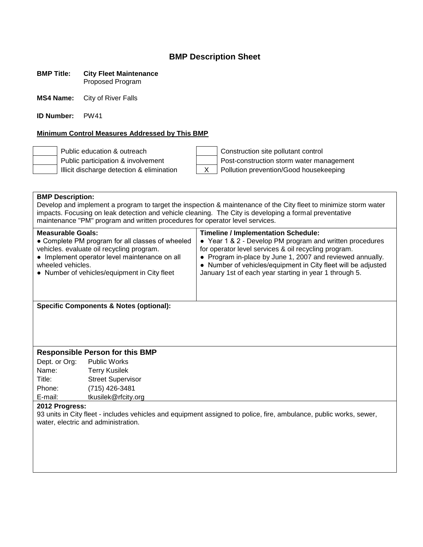#### **BMP Title: City Fleet Maintenance** Proposed Program

**MS4 Name:** City of River Falls

**ID Number:** PW41

### **Minimum Control Measures Addressed by This BMP**

Public education & outreach Construction site pollutant control Public participation & involvement  $\parallel$  | Post-construction storm water management Illicit discharge detection & elimination  $\begin{vmatrix} X & \end{vmatrix}$  Pollution prevention/Good housekeeping

| <b>BMP Description:</b><br>Develop and implement a program to target the inspection & maintenance of the City fleet to minimize storm water<br>impacts. Focusing on leak detection and vehicle cleaning. The City is developing a formal preventative<br>maintenance "PM" program and written procedures for operator level services. |                                                                                                                                                                                                |                                                                                                                                                                                                                                                                                                                                                        |  |
|---------------------------------------------------------------------------------------------------------------------------------------------------------------------------------------------------------------------------------------------------------------------------------------------------------------------------------------|------------------------------------------------------------------------------------------------------------------------------------------------------------------------------------------------|--------------------------------------------------------------------------------------------------------------------------------------------------------------------------------------------------------------------------------------------------------------------------------------------------------------------------------------------------------|--|
| <b>Measurable Goals:</b><br>wheeled vehicles.                                                                                                                                                                                                                                                                                         | • Complete PM program for all classes of wheeled<br>vehicles. evaluate oil recycling program.<br>• Implement operator level maintenance on all<br>• Number of vehicles/equipment in City fleet | <b>Timeline / Implementation Schedule:</b><br>• Year 1 & 2 - Develop PM program and written procedures<br>for operator level services & oil recycling program.<br>• Program in-place by June 1, 2007 and reviewed annually.<br>• Number of vehicles/equipment in City fleet will be adjusted<br>January 1st of each year starting in year 1 through 5. |  |
|                                                                                                                                                                                                                                                                                                                                       | <b>Specific Components &amp; Notes (optional):</b>                                                                                                                                             |                                                                                                                                                                                                                                                                                                                                                        |  |
| <b>Responsible Person for this BMP</b>                                                                                                                                                                                                                                                                                                |                                                                                                                                                                                                |                                                                                                                                                                                                                                                                                                                                                        |  |
| Dept. or Org:                                                                                                                                                                                                                                                                                                                         | <b>Public Works</b>                                                                                                                                                                            |                                                                                                                                                                                                                                                                                                                                                        |  |
| Name:                                                                                                                                                                                                                                                                                                                                 | <b>Terry Kusilek</b>                                                                                                                                                                           |                                                                                                                                                                                                                                                                                                                                                        |  |
| Title:                                                                                                                                                                                                                                                                                                                                | <b>Street Supervisor</b>                                                                                                                                                                       |                                                                                                                                                                                                                                                                                                                                                        |  |

### **2012 Progress:**

Phone: (715) 426-3481 E-mail: tkusilek@rfcity.org

93 units in City fleet - includes vehicles and equipment assigned to police, fire, ambulance, public works, sewer, water, electric and administration.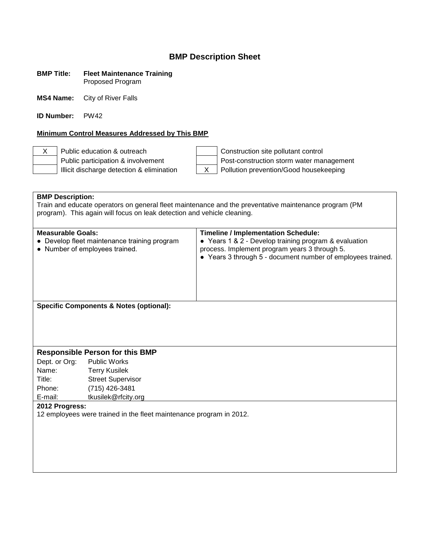### **BMP Title: Fleet Maintenance Training** Proposed Program

**MS4 Name:** City of River Falls

**ID Number:** PW42

### **Minimum Control Measures Addressed by This BMP**

Illicit discharge detection & elimination X Pollution prevention/Good housekeeping

X Public education & outreach Construction site pollutant control Public participation & involvement  $\vert$  Post-construction storm water management

**BMP Description:** Train and educate operators on general fleet maintenance and the preventative maintenance program (PM program). This again will focus on leak detection and vehicle cleaning. **Measurable Goals: Timeline / Implementation Schedule:** ● Develop fleet maintenance training program ● Number of employees trained. ● Years 1 & 2 - Develop training program & evaluation process. Implement program years 3 through 5. ● Years 3 through 5 - document number of employees trained. **Specific Components & Notes (optional): Responsible Person for this BMP** Dept. or Org: Public Works Name: Terry Kusilek Title: Street Supervisor Phone: (715) 426-3481 E-mail: tkusilek@rfcity.org **2012 Progress:** 12 employees were trained in the fleet maintenance program in 2012.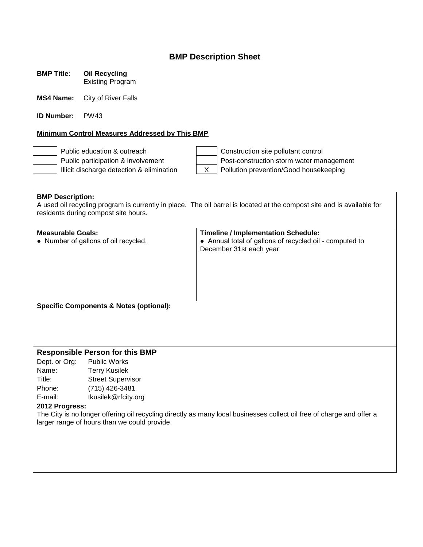**BMP Title: Oil Recycling** Existing Program

**MS4 Name:** City of River Falls

**ID Number:** PW43

### **Minimum Control Measures Addressed by This BMP**

Public education & outreach Construction site pollutant control Public participation & involvement  $\parallel$  | Post-construction storm water management Illicit discharge detection & elimination  $\begin{vmatrix} x \\ y \end{vmatrix}$  Pollution prevention/Good housekeeping

**BMP Description:** A used oil recycling program is currently in place. The oil barrel is located at the compost site and is available for residents during compost site hours.

| <b>Measurable Goals:</b>                                                                                              |                                                    | <b>Timeline / Implementation Schedule:</b>              |  |
|-----------------------------------------------------------------------------------------------------------------------|----------------------------------------------------|---------------------------------------------------------|--|
|                                                                                                                       | • Number of gallons of oil recycled.               | • Annual total of gallons of recycled oil - computed to |  |
|                                                                                                                       |                                                    | December 31st each year                                 |  |
|                                                                                                                       |                                                    |                                                         |  |
|                                                                                                                       |                                                    |                                                         |  |
|                                                                                                                       |                                                    |                                                         |  |
|                                                                                                                       |                                                    |                                                         |  |
|                                                                                                                       |                                                    |                                                         |  |
|                                                                                                                       | <b>Specific Components &amp; Notes (optional):</b> |                                                         |  |
|                                                                                                                       |                                                    |                                                         |  |
|                                                                                                                       |                                                    |                                                         |  |
|                                                                                                                       |                                                    |                                                         |  |
|                                                                                                                       |                                                    |                                                         |  |
|                                                                                                                       | <b>Responsible Person for this BMP</b>             |                                                         |  |
| Dept. or Org: Public Works                                                                                            |                                                    |                                                         |  |
| Name:                                                                                                                 | Terry Kusilek                                      |                                                         |  |
| Title:                                                                                                                | <b>Street Supervisor</b>                           |                                                         |  |
| Phone:                                                                                                                | (715) 426-3481                                     |                                                         |  |
| E-mail:                                                                                                               | tkusilek@rfcity.org                                |                                                         |  |
| 2012 Progress:                                                                                                        |                                                    |                                                         |  |
| The City is no longer offering oil recycling directly as many local businesses collect oil free of charge and offer a |                                                    |                                                         |  |
|                                                                                                                       | larger range of hours than we could provide.       |                                                         |  |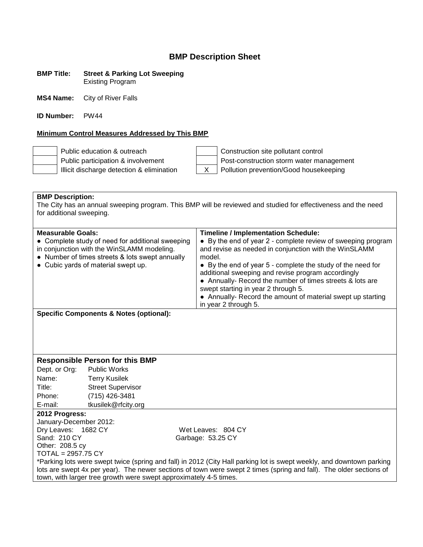#### **BMP Title: Street & Parking Lot Sweeping** Existing Program

**MS4 Name:** City of River Falls

**ID Number:** PW44

### **Minimum Control Measures Addressed by This BMP**

Public education & outreach Public participation & involvement Illicit discharge detection & elimination

| Construction site pollutant control      |
|------------------------------------------|
| Post-construction storm water management |
| Pollution prevention/Good housekeeping   |
|                                          |

**BMP Description:** The City has an annual sweeping program. This BMP will be reviewed and studied for effectiveness and the need for additional sweeping.

| <b>Measurable Goals:</b>                                                                       | <b>Timeline / Implementation Schedule:</b>                                                                            |
|------------------------------------------------------------------------------------------------|-----------------------------------------------------------------------------------------------------------------------|
| • Complete study of need for additional sweeping<br>in conjunction with the WinSLAMM modeling. | • By the end of year 2 - complete review of sweeping program<br>and revise as needed in conjunction with the WinSLAMM |
| • Number of times streets & lots swept annually                                                | model.                                                                                                                |
| • Cubic yards of material swept up.                                                            | • By the end of year 5 - complete the study of the need for                                                           |
|                                                                                                | additional sweeping and revise program accordingly                                                                    |
|                                                                                                | • Annually- Record the number of times streets & lots are                                                             |
|                                                                                                | swept starting in year 2 through 5.                                                                                   |
|                                                                                                | • Annually- Record the amount of material swept up starting                                                           |
|                                                                                                | in year 2 through 5.                                                                                                  |

**Specific Components & Notes (optional):**

### **Responsible Person for this BMP**

Dept. or Org: Public Works Name: Terry Kusilek Title: Street Supervisor Phone: (715) 426-3481 E-mail: tkusilek@rfcity.org

### **2012 Progress:**

January-December 2012: Dry Leaves: 1682 CY Wet Leaves: 804 CY Sand: 210 CY Garbage: 53.25 CY Other: 208.5 cy TOTAL = 2957.75 CY

\*Parking lots were swept twice (spring and fall) in 2012 (City Hall parking lot is swept weekly, and downtown parking lots are swept 4x per year). The newer sections of town were swept 2 times (spring and fall). The older sections of town, with larger tree growth were swept approximately 4-5 times.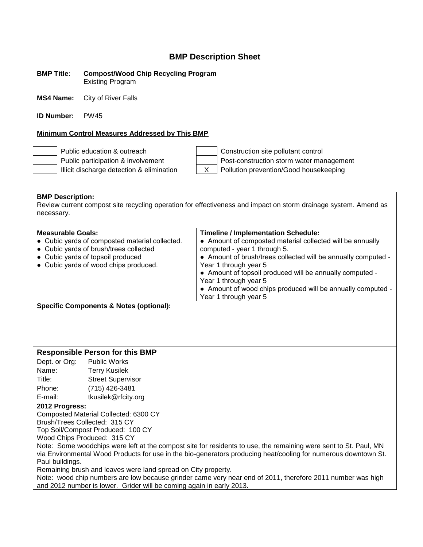**BMP Title: Compost/Wood Chip Recycling Program** Existing Program

**MS4 Name:** City of River Falls

**ID Number:** PW45

### **Minimum Control Measures Addressed by This BMP**

| Public education & outreach               | Construction site pollutant control      |
|-------------------------------------------|------------------------------------------|
| Public participation & involvement        | Post-construction storm water management |
| Illicit discharge detection & elimination | Pollution prevention/Good housekeeping   |

**BMP Description:** Review current compost site recycling operation for effectiveness and impact on storm drainage system. Amend as necessary.

| <b>Measurable Goals:</b><br>• Cubic yards of composted material collected.<br>• Cubic yards of brush/trees collected<br>• Cubic yards of topsoil produced<br>• Cubic yards of wood chips produced. | <b>Timeline / Implementation Schedule:</b><br>• Amount of composted material collected will be annually<br>computed - year 1 through 5.<br>• Amount of brush/trees collected will be annually computed -<br>Year 1 through year 5<br>• Amount of topsoil produced will be annually computed -<br>Year 1 through year 5<br>• Amount of wood chips produced will be annually computed -<br>Year 1 through year 5 |
|----------------------------------------------------------------------------------------------------------------------------------------------------------------------------------------------------|----------------------------------------------------------------------------------------------------------------------------------------------------------------------------------------------------------------------------------------------------------------------------------------------------------------------------------------------------------------------------------------------------------------|
|                                                                                                                                                                                                    |                                                                                                                                                                                                                                                                                                                                                                                                                |

**Specific Components & Notes (optional):**

### **Responsible Person for this BMP**

Dept. or Org: Public Works Name: Terry Kusilek Title: Street Supervisor Phone: (715) 426-3481 E-mail: tkusilek@rfcity.org

### **2012 Progress:**

Composted Material Collected: 6300 CY

Brush/Trees Collected: 315 CY

Top Soil/Compost Produced: 100 CY

Wood Chips Produced: 315 CY

Note: Some woodchips were left at the compost site for residents to use, the remaining were sent to St. Paul, MN via Environmental Wood Products for use in the bio-generators producing heat/cooling for numerous downtown St. Paul buildings.

Remaining brush and leaves were land spread on City property.

Note: wood chip numbers are low because grinder came very near end of 2011, therefore 2011 number was high and 2012 number is lower. Grider will be coming again in early 2013.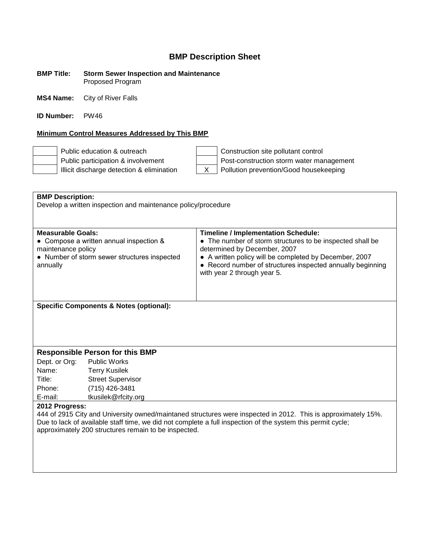#### **BMP Title: Storm Sewer Inspection and Maintenance** Proposed Program

**MS4 Name:** City of River Falls

**ID Number:** PW46

### **Minimum Control Measures Addressed by This BMP**

Public education & outreach Construction site pollutant control Public participation & involvement Post-construction storm water management Illicit discharge detection & elimination  $\begin{vmatrix} x \\ y \end{vmatrix}$  Pollution prevention/Good housekeeping

| <b>BMP Description:</b>                                                                                                                                             |                                                    |                                                                                                         |  |
|---------------------------------------------------------------------------------------------------------------------------------------------------------------------|----------------------------------------------------|---------------------------------------------------------------------------------------------------------|--|
| Develop a written inspection and maintenance policy/procedure                                                                                                       |                                                    |                                                                                                         |  |
|                                                                                                                                                                     |                                                    |                                                                                                         |  |
| <b>Measurable Goals:</b>                                                                                                                                            |                                                    |                                                                                                         |  |
|                                                                                                                                                                     | • Compose a written annual inspection &            | <b>Timeline / Implementation Schedule:</b><br>• The number of storm structures to be inspected shall be |  |
| maintenance policy                                                                                                                                                  |                                                    | determined by December, 2007                                                                            |  |
|                                                                                                                                                                     | • Number of storm sewer structures inspected       | • A written policy will be completed by December, 2007                                                  |  |
| annually                                                                                                                                                            |                                                    | • Record number of structures inspected annually beginning                                              |  |
|                                                                                                                                                                     |                                                    | with year 2 through year 5.                                                                             |  |
|                                                                                                                                                                     |                                                    |                                                                                                         |  |
|                                                                                                                                                                     |                                                    |                                                                                                         |  |
|                                                                                                                                                                     | <b>Specific Components &amp; Notes (optional):</b> |                                                                                                         |  |
|                                                                                                                                                                     |                                                    |                                                                                                         |  |
|                                                                                                                                                                     |                                                    |                                                                                                         |  |
|                                                                                                                                                                     |                                                    |                                                                                                         |  |
|                                                                                                                                                                     |                                                    |                                                                                                         |  |
|                                                                                                                                                                     | <b>Responsible Person for this BMP</b>             |                                                                                                         |  |
| Dept. or Org:                                                                                                                                                       | <b>Public Works</b>                                |                                                                                                         |  |
| Name:                                                                                                                                                               | <b>Terry Kusilek</b>                               |                                                                                                         |  |
| Title:                                                                                                                                                              | <b>Street Supervisor</b>                           |                                                                                                         |  |
| Phone:                                                                                                                                                              | (715) 426-3481                                     |                                                                                                         |  |
| E-mail:                                                                                                                                                             | tkusilek@rfcity.org                                |                                                                                                         |  |
| 2012 Progress:                                                                                                                                                      |                                                    |                                                                                                         |  |
| 444 of 2915 City and University owned/maintaned structures were inspected in 2012. This is approximately 15%.                                                       |                                                    |                                                                                                         |  |
| Due to lack of available staff time, we did not complete a full inspection of the system this permit cycle;<br>approximately 200 structures remain to be inspected. |                                                    |                                                                                                         |  |
|                                                                                                                                                                     |                                                    |                                                                                                         |  |
|                                                                                                                                                                     |                                                    |                                                                                                         |  |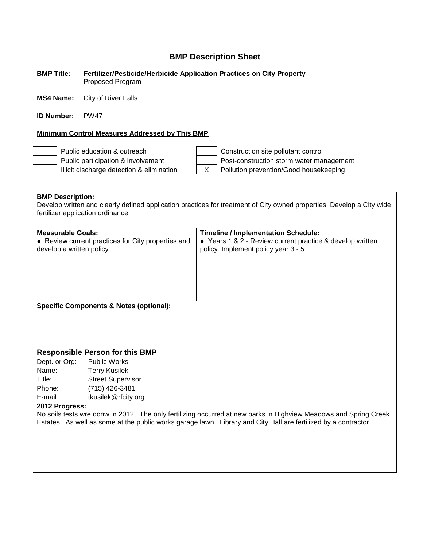### **BMP Title: Fertilizer/Pesticide/Herbicide Application Practices on City Property** Proposed Program

**MS4 Name:** City of River Falls

**ID Number:** PW47

### **Minimum Control Measures Addressed by This BMP**

Public education & outreach Construction site pollutant control Public participation & involvement  $\vert$  Post-construction storm water management Illicit discharge detection & elimination X Pollution prevention/Good housekeeping

**BMP Description:** Develop written and clearly defined application practices for treatment of City owned properties. Develop a City wide fertilizer application ordinance. **Measurable Goals: Timeline / Implementation Schedule:** • Review current practices for City properties and develop a written policy. ● Years 1 & 2 - Review current practice & develop written policy. Implement policy year 3 - 5. **Specific Components & Notes (optional): Responsible Person for this BMP** Dept. or Org: Public Works Name: Terry Kusilek Title: Street Supervisor Phone: (715) 426-3481 E-mail: tkusilek@rfcity.org **2012 Progress:**

No soils tests wre donw in 2012. The only fertilizing occurred at new parks in Highview Meadows and Spring Creek Estates. As well as some at the public works garage lawn. Library and City Hall are fertilized by a contractor.